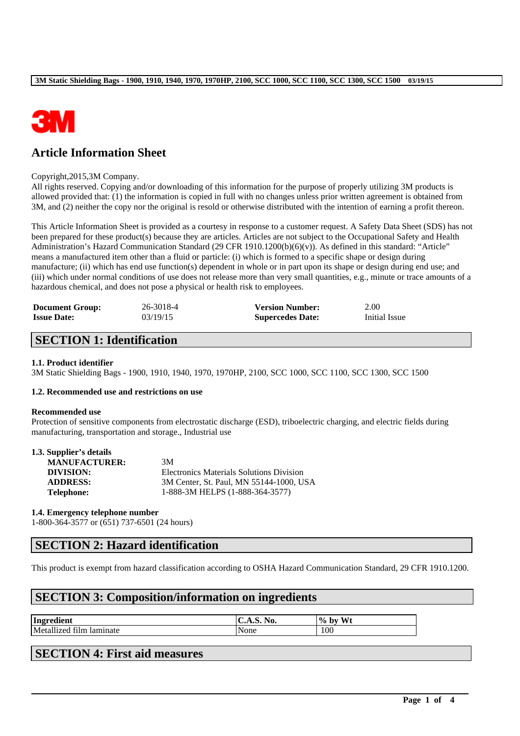

## **Article Information Sheet**

#### Copyright,2015,3M Company.

All rights reserved. Copying and/or downloading of this information for the purpose of properly utilizing 3M products is allowed provided that: (1) the information is copied in full with no changes unless prior written agreement is obtained from 3M, and (2) neither the copy nor the original is resold or otherwise distributed with the intention of earning a profit thereon.

This Article Information Sheet is provided as a courtesy in response to a customer request. A Safety Data Sheet (SDS) has not been prepared for these product(s) because they are articles. Articles are not subject to the Occupational Safety and Health Administration's Hazard Communication Standard (29 CFR 1910.1200(b)(6)(v)). As defined in this standard: "Article" means a manufactured item other than a fluid or particle: (i) which is formed to a specific shape or design during manufacture; (ii) which has end use function(s) dependent in whole or in part upon its shape or design during end use; and (iii) which under normal conditions of use does not release more than very small quantities, e.g., minute or trace amounts of a hazardous chemical, and does not pose a physical or health risk to employees.

| <b>Document Group:</b> | 26-3018-4 | <b>Version Number:</b>  | 2.00          |
|------------------------|-----------|-------------------------|---------------|
| <b>Issue Date:</b>     | 03/19/15  | <b>Supercedes Date:</b> | Initial Issue |

## **SECTION 1: Identification**

### **1.1. Product identifier**

3M Static Shielding Bags - 1900, 1910, 1940, 1970, 1970HP, 2100, SCC 1000, SCC 1100, SCC 1300, SCC 1500

#### **1.2. Recommended use and restrictions on use**

#### **Recommended use**

Protection of sensitive components from electrostatic discharge (ESD), triboelectric charging, and electric fields during manufacturing, transportation and storage., Industrial use

| 1.3. Supplier's details |  |
|-------------------------|--|
|-------------------------|--|

| <b>MANUFACTURER:</b> | 3M                                              |
|----------------------|-------------------------------------------------|
| DIVISION:            | <b>Electronics Materials Solutions Division</b> |
| <b>ADDRESS:</b>      | 3M Center, St. Paul, MN 55144-1000, USA         |
| <b>Telephone:</b>    | 1-888-3M HELPS (1-888-364-3577)                 |

#### **1.4. Emergency telephone number**

1-800-364-3577 or (651) 737-6501 (24 hours)

### **SECTION 2: Hazard identification**

This product is exempt from hazard classification according to OSHA Hazard Communication Standard, 29 CFR 1910.1200.

\_\_\_\_\_\_\_\_\_\_\_\_\_\_\_\_\_\_\_\_\_\_\_\_\_\_\_\_\_\_\_\_\_\_\_\_\_\_\_\_\_\_\_\_\_\_\_\_\_\_\_\_\_\_\_\_\_\_\_\_\_\_\_\_\_\_\_\_\_\_\_\_\_\_\_\_\_\_\_\_\_\_\_\_\_\_\_\_\_\_

### **SECTION 3: Composition/information on ingredients**

| Ingredient               | <b>C.A.S. No.</b> | Wt<br>$\frac{10}{10}$<br>, bv |
|--------------------------|-------------------|-------------------------------|
| Metallized film laminate | None              | 100                           |

## **SECTION 4: First aid measures**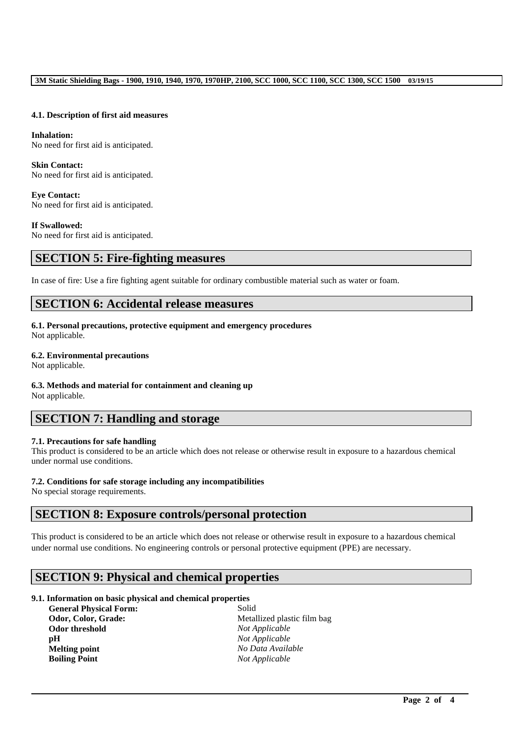#### **4.1. Description of first aid measures**

**Inhalation:**  No need for first aid is anticipated.

**Skin Contact:**  No need for first aid is anticipated.

**Eye Contact:**  No need for first aid is anticipated.

**If Swallowed:**  No need for first aid is anticipated.

## **SECTION 5: Fire-fighting measures**

In case of fire: Use a fire fighting agent suitable for ordinary combustible material such as water or foam.

## **SECTION 6: Accidental release measures**

**6.1. Personal precautions, protective equipment and emergency procedures**

Not applicable.

### **6.2. Environmental precautions**

Not applicable.

# **6.3. Methods and material for containment and cleaning up**

Not applicable.

## **SECTION 7: Handling and storage**

### **7.1. Precautions for safe handling**

This product is considered to be an article which does not release or otherwise result in exposure to a hazardous chemical under normal use conditions.

### **7.2. Conditions for safe storage including any incompatibilities**

No special storage requirements.

## **SECTION 8: Exposure controls/personal protection**

This product is considered to be an article which does not release or otherwise result in exposure to a hazardous chemical under normal use conditions. No engineering controls or personal protective equipment (PPE) are necessary.

\_\_\_\_\_\_\_\_\_\_\_\_\_\_\_\_\_\_\_\_\_\_\_\_\_\_\_\_\_\_\_\_\_\_\_\_\_\_\_\_\_\_\_\_\_\_\_\_\_\_\_\_\_\_\_\_\_\_\_\_\_\_\_\_\_\_\_\_\_\_\_\_\_\_\_\_\_\_\_\_\_\_\_\_\_\_\_\_\_\_

## **SECTION 9: Physical and chemical properties**

### **9.1. Information on basic physical and chemical properties**

**General Physical Form:** Solid **Odor, Color, Grade:** Metallized plastic film bag **Odor threshold** *Not Applicable*<br>**pH** *Not Applicable* **Melting point** *No Data Available* **Boiling Point** *Not Applicable*

**Not Applicable**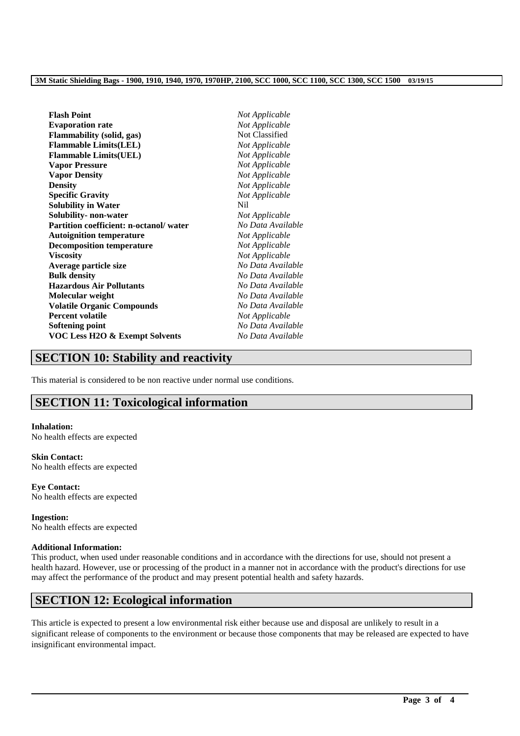#### **3M Static Shielding Bags - 1900, 1910, 1940, 1970, 1970HP, 2100, SCC 1000, SCC 1100, SCC 1300, SCC 1500 03/19/15**

| <b>Flash Point</b>                        | Not Applicable    |
|-------------------------------------------|-------------------|
| <b>Evaporation rate</b>                   | Not Applicable    |
| <b>Flammability</b> (solid, gas)          | Not Classified    |
| <b>Flammable Limits(LEL)</b>              | Not Applicable    |
| <b>Flammable Limits(UEL)</b>              | Not Applicable    |
| <b>Vapor Pressure</b>                     | Not Applicable    |
| <b>Vapor Density</b>                      | Not Applicable    |
| <b>Density</b>                            | Not Applicable    |
| <b>Specific Gravity</b>                   | Not Applicable    |
| <b>Solubility in Water</b>                | Nil               |
| Solubility- non-water                     | Not Applicable    |
| Partition coefficient: n-octanol/water    | No Data Available |
| <b>Autoignition temperature</b>           | Not Applicable    |
| <b>Decomposition temperature</b>          | Not Applicable    |
| <b>Viscosity</b>                          | Not Applicable    |
| Average particle size                     | No Data Available |
| <b>Bulk density</b>                       | No Data Available |
| <b>Hazardous Air Pollutants</b>           | No Data Available |
| Molecular weight                          | No Data Available |
| <b>Volatile Organic Compounds</b>         | No Data Available |
| <b>Percent volatile</b>                   | Not Applicable    |
| <b>Softening point</b>                    | No Data Available |
| <b>VOC Less H2O &amp; Exempt Solvents</b> | No Data Available |
|                                           |                   |

## **SECTION 10: Stability and reactivity**

This material is considered to be non reactive under normal use conditions.

## **SECTION 11: Toxicological information**

#### **Inhalation:**

No health effects are expected

### **Skin Contact:**

No health effects are expected

**Eye Contact:** No health effects are expected

**Ingestion:** No health effects are expected

### **Additional Information:**

This product, when used under reasonable conditions and in accordance with the directions for use, should not present a health hazard. However, use or processing of the product in a manner not in accordance with the product's directions for use may affect the performance of the product and may present potential health and safety hazards.

## **SECTION 12: Ecological information**

This article is expected to present a low environmental risk either because use and disposal are unlikely to result in a significant release of components to the environment or because those components that may be released are expected to have insignificant environmental impact.

\_\_\_\_\_\_\_\_\_\_\_\_\_\_\_\_\_\_\_\_\_\_\_\_\_\_\_\_\_\_\_\_\_\_\_\_\_\_\_\_\_\_\_\_\_\_\_\_\_\_\_\_\_\_\_\_\_\_\_\_\_\_\_\_\_\_\_\_\_\_\_\_\_\_\_\_\_\_\_\_\_\_\_\_\_\_\_\_\_\_